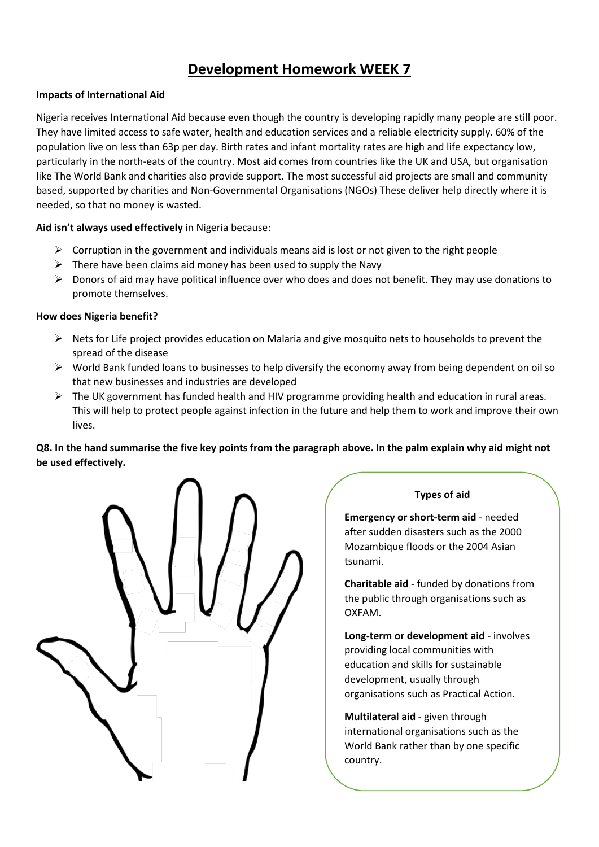# **Development Homework WEEK 7**

## **Impacts of International Aid**

Nigeria receives International Aid because even though the country is developing rapidly many people are still poor. They have limited access to safe water, health and education services and a reliable electricity supply. 60% of the population live on less than 63p per day. Birth rates and infant mortality rates are high and life expectancy low, particularly in the north-eats of the country. Most aid comes from countries like the UK and USA, but organisation like The World Bank and charities also provide support. The most successful aid projects are small and community based, supported by charities and Non-Governmental Organisations (NGOs) These deliver help directly where it is needed, so that no money is wasted.

#### **Aid isn't always used effectively** in Nigeria because:

- $\triangleright$  Corruption in the government and individuals means aid is lost or not given to the right people
- $\triangleright$  There have been claims aid money has been used to supply the Navy
- $\triangleright$  Donors of aid may have political influence over who does and does not benefit. They may use donations to promote themselves.

#### **How does Nigeria benefit?**

- $\triangleright$  Nets for Life project provides education on Malaria and give mosquito nets to households to prevent the spread of the disease
- $\triangleright$  World Bank funded loans to businesses to help diversify the economy away from being dependent on oil so that new businesses and industries are developed
- ➢ The UK government has funded health and HIV programme providing health and education in rural areas. This will help to protect people against infection in the future and help them to work and improve their own lives.

# **Q8. In the hand summarise the five key points from the paragraph above. In the palm explain why aid might not be used effectively.**



## **Types of aid**

**Emergency or short-term aid** - needed after sudden disasters such as the 2000 Mozambique floods or the 2004 Asian tsunami.

**Charitable aid** - funded by donations from the public through organisations such as OXFAM.

**Long-term or development aid** - involves providing local communities with education and skills for sustainable development, usually through organisations such as Practical Action.

**Multilateral aid** - given through international organisations such as the World Bank rather than by one specific country.